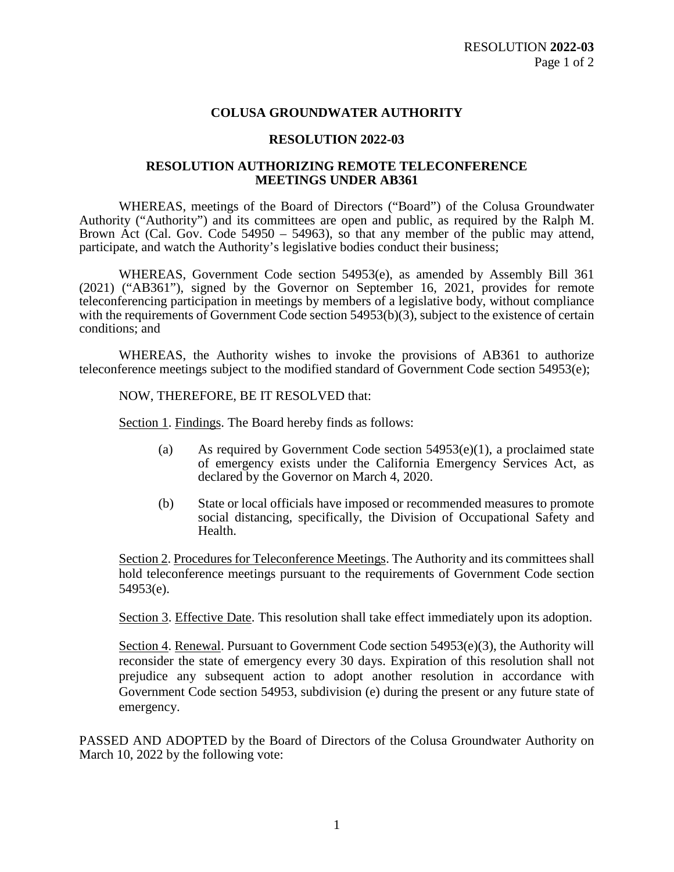## **COLUSA GROUNDWATER AUTHORITY**

## **RESOLUTION 2022-03**

## **RESOLUTION AUTHORIZING REMOTE TELECONFERENCE MEETINGS UNDER AB361**

WHEREAS, meetings of the Board of Directors ("Board") of the Colusa Groundwater Authority ("Authority") and its committees are open and public, as required by the Ralph M. Brown Act (Cal. Gov. Code 54950 – 54963), so that any member of the public may attend, participate, and watch the Authority's legislative bodies conduct their business;

WHEREAS, Government Code section 54953(e), as amended by Assembly Bill 361 (2021) ("AB361"), signed by the Governor on September 16, 2021, provides for remote teleconferencing participation in meetings by members of a legislative body, without compliance with the requirements of Government Code section 54953(b)(3), subject to the existence of certain conditions; and

WHEREAS, the Authority wishes to invoke the provisions of AB361 to authorize teleconference meetings subject to the modified standard of Government Code section 54953(e);

NOW, THEREFORE, BE IT RESOLVED that:

Section 1. Findings. The Board hereby finds as follows:

- (a) As required by Government Code section  $54953(e)(1)$ , a proclaimed state of emergency exists under the California Emergency Services Act, as declared by the Governor on March 4, 2020.
- (b) State or local officials have imposed or recommended measures to promote social distancing, specifically, the Division of Occupational Safety and Health.

Section 2. Procedures for Teleconference Meetings. The Authority and its committees shall hold teleconference meetings pursuant to the requirements of Government Code section 54953(e).

Section 3. Effective Date. This resolution shall take effect immediately upon its adoption.

Section 4. Renewal. Pursuant to Government Code section 54953(e)(3), the Authority will reconsider the state of emergency every 30 days. Expiration of this resolution shall not prejudice any subsequent action to adopt another resolution in accordance with Government Code section 54953, subdivision (e) during the present or any future state of emergency.

PASSED AND ADOPTED by the Board of Directors of the Colusa Groundwater Authority on March 10, 2022 by the following vote: